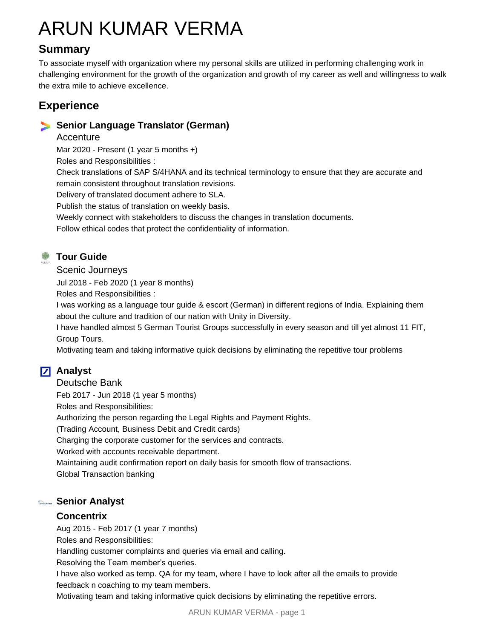# ARUN KUMAR VERMA

# **Summary**

To associate myself with organization where my personal skills are utilized in performing challenging work in challenging environment for the growth of the organization and growth of my career as well and willingness to walk the extra mile to achieve excellence.

# **Experience**

### **Senior Language Translator (German)**

Accenture

Mar 2020 - Present (1 year 5 months +)

Roles and Responsibilities :

Check translations of SAP S/4HANA and its technical terminology to ensure that they are accurate and remain consistent throughout translation revisions.

Delivery of translated document adhere to SLA.

Publish the status of translation on weekly basis.

Weekly connect with stakeholders to discuss the changes in translation documents.

Follow ethical codes that protect the confidentiality of information.

## **Tour Guide**

Scenic Journeys

Jul 2018 - Feb 2020 (1 year 8 months)

Roles and Responsibilities :

I was working as a language tour guide & escort (German) in different regions of India. Explaining them about the culture and tradition of our nation with Unity in Diversity.

I have handled almost 5 German Tourist Groups successfully in every season and till yet almost 11 FIT, Group Tours.

Motivating team and taking informative quick decisions by eliminating the repetitive tour problems

# **Z** Analyst

Deutsche Bank

Feb 2017 - Jun 2018 (1 year 5 months)

Roles and Responsibilities:

Authorizing the person regarding the Legal Rights and Payment Rights.

(Trading Account, Business Debit and Credit cards)

Charging the corporate customer for the services and contracts.

Worked with accounts receivable department.

Maintaining audit confirmation report on daily basis for smooth flow of transactions. Global Transaction banking

## **Senior Analyst**

#### **Concentrix**

Aug 2015 - Feb 2017 (1 year 7 months)

Roles and Responsibilities:

Handling customer complaints and queries via email and calling.

Resolving the Team member's queries.

I have also worked as temp. QA for my team, where I have to look after all the emails to provide feedback n coaching to my team members.

Motivating team and taking informative quick decisions by eliminating the repetitive errors.